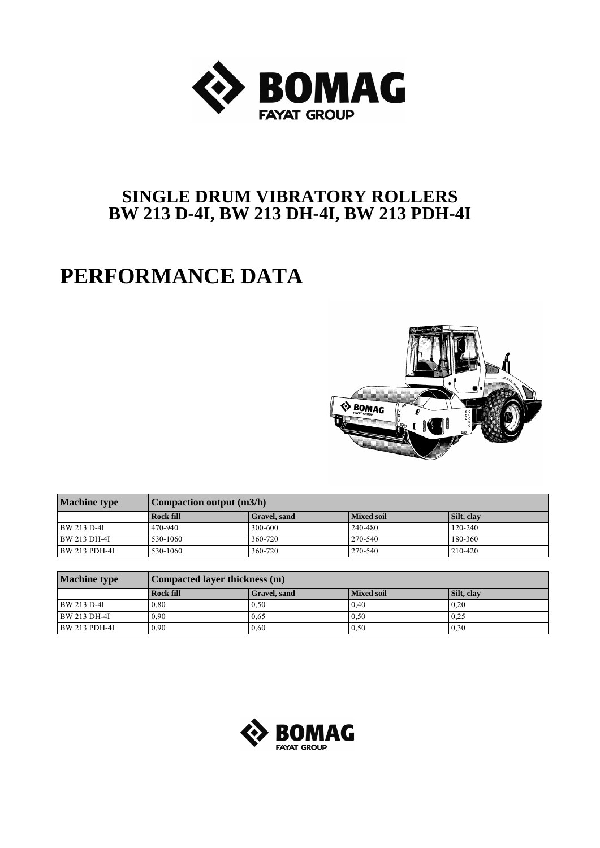

## **SINGLE DRUM VIBRATORY ROLLERS BW 213 D-4I, BW 213 DH-4I, BW 213 PDH-4I**

## **PERFORMANCE DATA**



| <b>Machine type</b> | <b>Compaction output (m3/h)</b> |              |            |             |  |  |  |  |  |  |  |  |
|---------------------|---------------------------------|--------------|------------|-------------|--|--|--|--|--|--|--|--|
|                     | <b>Rock fill</b>                | Gravel, sand | Mixed soil | Silt, clay  |  |  |  |  |  |  |  |  |
| BW 213 D-4I         | 470-940                         | 300-600      | 240-480    | $120 - 240$ |  |  |  |  |  |  |  |  |
| BW 213 DH-4I        | 530-1060                        | 360-720      | 270-540    | 180-360     |  |  |  |  |  |  |  |  |
| BW 213 PDH-4I       | 530-1060                        | 360-720      | 270-540    | 210-420     |  |  |  |  |  |  |  |  |

| <b>Machine type</b>  | Compacted layer thickness (m) |              |                   |            |  |  |  |  |  |  |  |  |
|----------------------|-------------------------------|--------------|-------------------|------------|--|--|--|--|--|--|--|--|
|                      | <b>Rock fill</b>              | Gravel, sand | <b>Mixed soil</b> | Silt, clay |  |  |  |  |  |  |  |  |
| BW 213 D-4I          | 0.80                          | 0.50         | 0.40              | 0.20       |  |  |  |  |  |  |  |  |
| BW 213 DH-4I         | 0.90                          | 0.65         | 0.50              | 0.25       |  |  |  |  |  |  |  |  |
| <b>BW 213 PDH-4I</b> | 0.90                          | 0.60         | 0.50              | 0.30       |  |  |  |  |  |  |  |  |